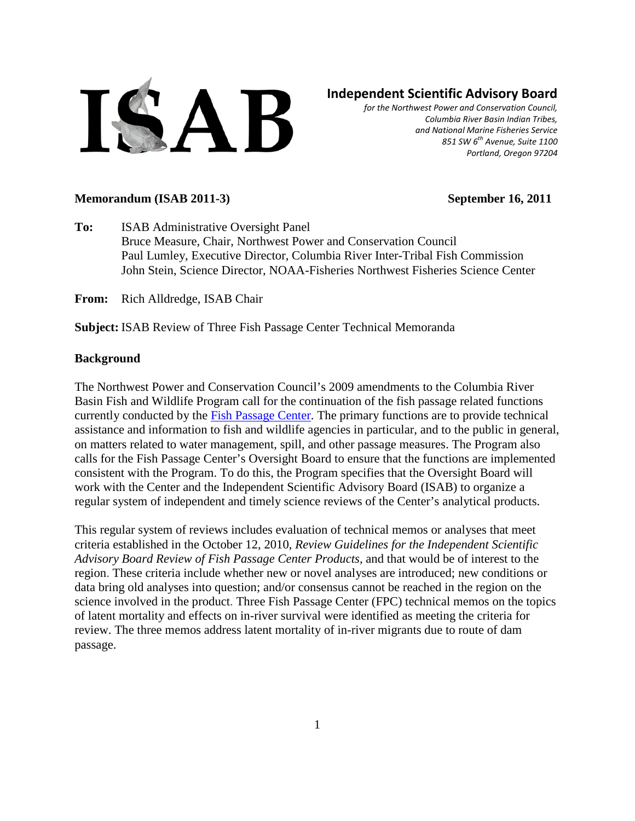

# **Independent Scientific Advisory Board**

*for the Northwest Power and Conservation Council, Columbia River Basin Indian Tribes, and National Marine Fisheries Service 851 SW 6th Avenue, Suite 1100 Portland, Oregon 97204*

#### **Memorandum (ISAB 2011-3) September 16, 2011**

**To:** ISAB Administrative Oversight Panel Bruce Measure, Chair, Northwest Power and Conservation Council Paul Lumley, Executive Director, Columbia River Inter-Tribal Fish Commission John Stein, Science Director, NOAA-Fisheries Northwest Fisheries Science Center

**From:** Rich Alldredge, ISAB Chair

**Subject:** ISAB Review of Three Fish Passage Center Technical Memoranda

## **Background**

The Northwest Power and Conservation Council's 2009 amendments to the Columbia River Basin Fish and Wildlife Program call for the continuation of the fish passage related functions currently conducted by the [Fish Passage Center.](http://www.fpc.org/) The primary functions are to provide technical assistance and information to fish and wildlife agencies in particular, and to the public in general, on matters related to water management, spill, and other passage measures. The Program also calls for the Fish Passage Center's Oversight Board to ensure that the functions are implemented consistent with the Program. To do this, the Program specifies that the Oversight Board will work with the Center and the Independent Scientific Advisory Board (ISAB) to organize a regular system of independent and timely science reviews of the Center's analytical products.

This regular system of reviews includes evaluation of technical memos or analyses that meet criteria established in the October 12, 2010, *Review Guidelines for the Independent Scientific Advisory Board Review of Fish Passage Center Products,* and that would be of interest to the region. These criteria include whether new or novel analyses are introduced; new conditions or data bring old analyses into question; and/or consensus cannot be reached in the region on the science involved in the product. Three Fish Passage Center (FPC) technical memos on the topics of latent mortality and effects on in-river survival were identified as meeting the criteria for review. The three memos address latent mortality of in-river migrants due to route of dam passage.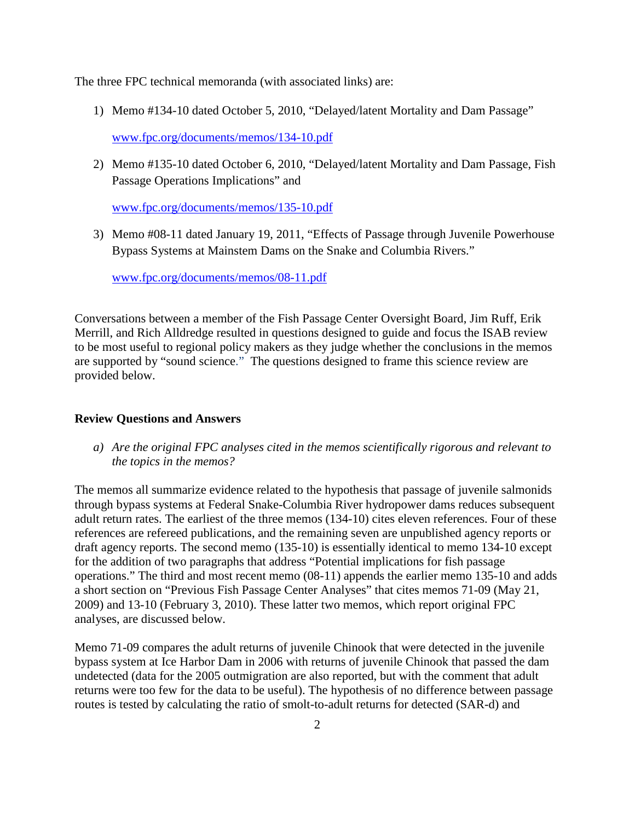The three FPC technical memoranda (with associated links) are:

1) Memo #134-10 dated October 5, 2010, "Delayed/latent Mortality and Dam Passage"

[www.fpc.org/documents/memos/134-10.pdf](http://www.fpc.org/documents/memos/134-10.pdf)

2) Memo #135-10 dated October 6, 2010, "Delayed/latent Mortality and Dam Passage, Fish Passage Operations Implications" and

[www.fpc.org/documents/memos/135-10.pdf](http://www.fpc.org/documents/memos/135-10.pdf)

3) Memo #08-11 dated January 19, 2011, "Effects of Passage through Juvenile Powerhouse Bypass Systems at Mainstem Dams on the Snake and Columbia Rivers."

[www.fpc.org/documents/memos/08-11.pdf](http://www.fpc.org/documents/memos/08-11.pdf)

Conversations between a member of the Fish Passage Center Oversight Board, Jim Ruff, Erik Merrill, and Rich Alldredge resulted in questions designed to guide and focus the ISAB review to be most useful to regional policy makers as they judge whether the conclusions in the memos are supported by "sound science." The questions designed to frame this science review are provided below.

#### **Review Questions and Answers**

*a) Are the original FPC analyses cited in the memos scientifically rigorous and relevant to the topics in the memos?*

The memos all summarize evidence related to the hypothesis that passage of juvenile salmonids through bypass systems at Federal Snake-Columbia River hydropower dams reduces subsequent adult return rates. The earliest of the three memos (134-10) cites eleven references. Four of these references are refereed publications, and the remaining seven are unpublished agency reports or draft agency reports. The second memo (135-10) is essentially identical to memo 134-10 except for the addition of two paragraphs that address "Potential implications for fish passage operations." The third and most recent memo (08-11) appends the earlier memo 135-10 and adds a short section on "Previous Fish Passage Center Analyses" that cites memos 71-09 (May 21, 2009) and 13-10 (February 3, 2010). These latter two memos, which report original FPC analyses, are discussed below.

Memo 71-09 compares the adult returns of juvenile Chinook that were detected in the juvenile bypass system at Ice Harbor Dam in 2006 with returns of juvenile Chinook that passed the dam undetected (data for the 2005 outmigration are also reported, but with the comment that adult returns were too few for the data to be useful). The hypothesis of no difference between passage routes is tested by calculating the ratio of smolt-to-adult returns for detected (SAR-d) and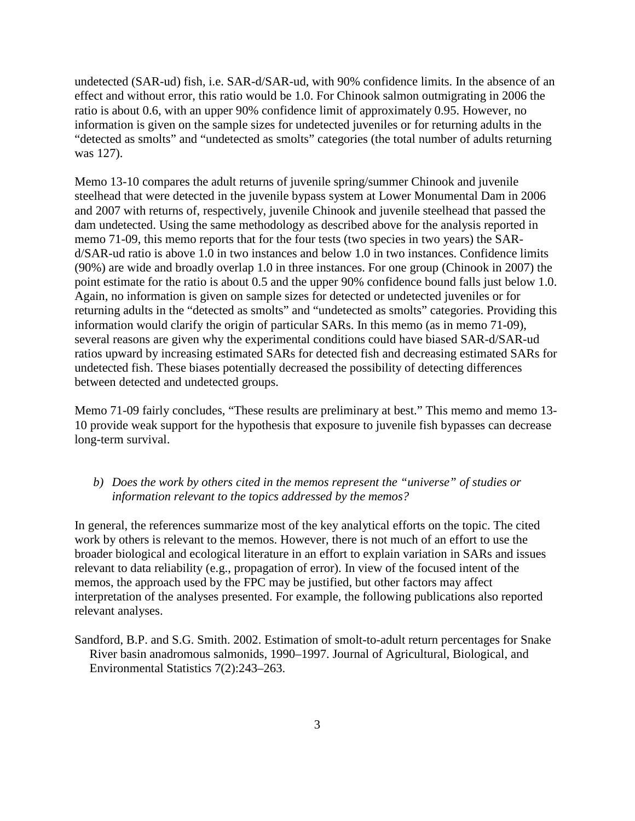undetected (SAR-ud) fish, i.e. SAR-d/SAR-ud, with 90% confidence limits. In the absence of an effect and without error, this ratio would be 1.0. For Chinook salmon outmigrating in 2006 the ratio is about 0.6, with an upper 90% confidence limit of approximately 0.95. However, no information is given on the sample sizes for undetected juveniles or for returning adults in the "detected as smolts" and "undetected as smolts" categories (the total number of adults returning was 127).

Memo 13-10 compares the adult returns of juvenile spring/summer Chinook and juvenile steelhead that were detected in the juvenile bypass system at Lower Monumental Dam in 2006 and 2007 with returns of, respectively, juvenile Chinook and juvenile steelhead that passed the dam undetected. Using the same methodology as described above for the analysis reported in memo 71-09, this memo reports that for the four tests (two species in two years) the SARd/SAR-ud ratio is above 1.0 in two instances and below 1.0 in two instances. Confidence limits (90%) are wide and broadly overlap 1.0 in three instances. For one group (Chinook in 2007) the point estimate for the ratio is about 0.5 and the upper 90% confidence bound falls just below 1.0. Again, no information is given on sample sizes for detected or undetected juveniles or for returning adults in the "detected as smolts" and "undetected as smolts" categories. Providing this information would clarify the origin of particular SARs. In this memo (as in memo 71-09), several reasons are given why the experimental conditions could have biased SAR-d/SAR-ud ratios upward by increasing estimated SARs for detected fish and decreasing estimated SARs for undetected fish. These biases potentially decreased the possibility of detecting differences between detected and undetected groups.

Memo 71-09 fairly concludes, "These results are preliminary at best." This memo and memo 13- 10 provide weak support for the hypothesis that exposure to juvenile fish bypasses can decrease long-term survival.

## *b) Does the work by others cited in the memos represent the "universe" of studies or information relevant to the topics addressed by the memos?*

In general, the references summarize most of the key analytical efforts on the topic. The cited work by others is relevant to the memos. However, there is not much of an effort to use the broader biological and ecological literature in an effort to explain variation in SARs and issues relevant to data reliability (e.g., propagation of error). In view of the focused intent of the memos, the approach used by the FPC may be justified, but other factors may affect interpretation of the analyses presented. For example, the following publications also reported relevant analyses.

Sandford, B.P. and S.G. Smith. 2002. Estimation of smolt-to-adult return percentages for Snake River basin anadromous salmonids, 1990–1997. Journal of Agricultural, Biological, and Environmental Statistics 7(2):243–263.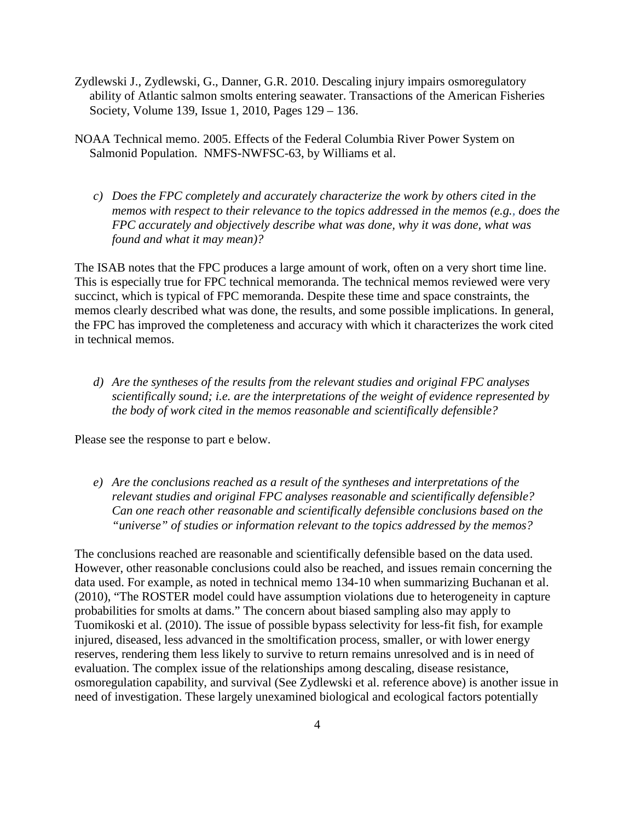- Zydlewski J., Zydlewski, G., Danner, G.R. 2010. Descaling injury impairs osmoregulatory ability of Atlantic salmon smolts entering seawater. Transactions of the American Fisheries Society, Volume 139, Issue 1, 2010, Pages 129 – 136.
- NOAA Technical memo. 2005. Effects of the Federal Columbia River Power System on Salmonid Population. NMFS-NWFSC-63, by Williams et al.
	- *c) Does the FPC completely and accurately characterize the work by others cited in the memos with respect to their relevance to the topics addressed in the memos (e.g., does the FPC accurately and objectively describe what was done, why it was done, what was found and what it may mean)?*

The ISAB notes that the FPC produces a large amount of work, often on a very short time line. This is especially true for FPC technical memoranda. The technical memos reviewed were very succinct, which is typical of FPC memoranda. Despite these time and space constraints, the memos clearly described what was done, the results, and some possible implications. In general, the FPC has improved the completeness and accuracy with which it characterizes the work cited in technical memos.

*d) Are the syntheses of the results from the relevant studies and original FPC analyses scientifically sound; i.e. are the interpretations of the weight of evidence represented by the body of work cited in the memos reasonable and scientifically defensible?* 

Please see the response to part e below.

*e) Are the conclusions reached as a result of the syntheses and interpretations of the relevant studies and original FPC analyses reasonable and scientifically defensible? Can one reach other reasonable and scientifically defensible conclusions based on the "universe" of studies or information relevant to the topics addressed by the memos?*

The conclusions reached are reasonable and scientifically defensible based on the data used. However, other reasonable conclusions could also be reached, and issues remain concerning the data used. For example, as noted in technical memo 134-10 when summarizing Buchanan et al. (2010), "The ROSTER model could have assumption violations due to heterogeneity in capture probabilities for smolts at dams." The concern about biased sampling also may apply to Tuomikoski et al. (2010). The issue of possible bypass selectivity for less-fit fish, for example injured, diseased, less advanced in the smoltification process, smaller, or with lower energy reserves, rendering them less likely to survive to return remains unresolved and is in need of evaluation. The complex issue of the relationships among descaling, disease resistance, osmoregulation capability, and survival (See Zydlewski et al. reference above) is another issue in need of investigation. These largely unexamined biological and ecological factors potentially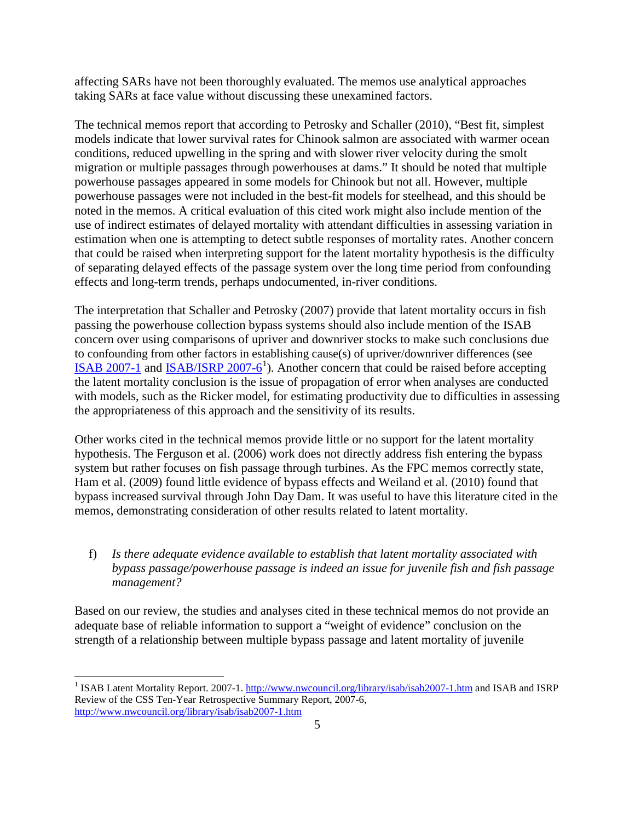affecting SARs have not been thoroughly evaluated. The memos use analytical approaches taking SARs at face value without discussing these unexamined factors.

The technical memos report that according to Petrosky and Schaller (2010), "Best fit, simplest models indicate that lower survival rates for Chinook salmon are associated with warmer ocean conditions, reduced upwelling in the spring and with slower river velocity during the smolt migration or multiple passages through powerhouses at dams." It should be noted that multiple powerhouse passages appeared in some models for Chinook but not all. However, multiple powerhouse passages were not included in the best-fit models for steelhead, and this should be noted in the memos. A critical evaluation of this cited work might also include mention of the use of indirect estimates of delayed mortality with attendant difficulties in assessing variation in estimation when one is attempting to detect subtle responses of mortality rates. Another concern that could be raised when interpreting support for the latent mortality hypothesis is the difficulty of separating delayed effects of the passage system over the long time period from confounding effects and long-term trends, perhaps undocumented, in-river conditions.

The interpretation that Schaller and Petrosky (2007) provide that latent mortality occurs in fish passing the powerhouse collection bypass systems should also include mention of the ISAB concern over using comparisons of upriver and downriver stocks to make such conclusions due to confounding from other factors in establishing cause(s) of upriver/downriver differences (see [ISAB 2007-1](http://www.nwcouncil.org/library/isab/isab2007-1.htm) and [ISAB/ISRP 2007-6](http://www.nwcouncil.org/library/isab/isab2007-1.htm)<sup>[1](#page-4-0)</sup>). Another concern that could be raised before accepting the latent mortality conclusion is the issue of propagation of error when analyses are conducted with models, such as the Ricker model, for estimating productivity due to difficulties in assessing the appropriateness of this approach and the sensitivity of its results.

Other works cited in the technical memos provide little or no support for the latent mortality hypothesis. The Ferguson et al. (2006) work does not directly address fish entering the bypass system but rather focuses on fish passage through turbines. As the FPC memos correctly state, Ham et al. (2009) found little evidence of bypass effects and Weiland et al. (2010) found that bypass increased survival through John Day Dam. It was useful to have this literature cited in the memos, demonstrating consideration of other results related to latent mortality.

f) *Is there adequate evidence available to establish that latent mortality associated with bypass passage/powerhouse passage is indeed an issue for juvenile fish and fish passage management?*

Based on our review, the studies and analyses cited in these technical memos do not provide an adequate base of reliable information to support a "weight of evidence" conclusion on the strength of a relationship between multiple bypass passage and latent mortality of juvenile

<span id="page-4-0"></span><sup>&</sup>lt;sup>1</sup> ISAB Latent Mortality Report. 2007-1.<http://www.nwcouncil.org/library/isab/isab2007-1.htm> and ISAB and ISRP Review of the CSS Ten-Year Retrospective Summary Report, 2007-6, <http://www.nwcouncil.org/library/isab/isab2007-1.htm>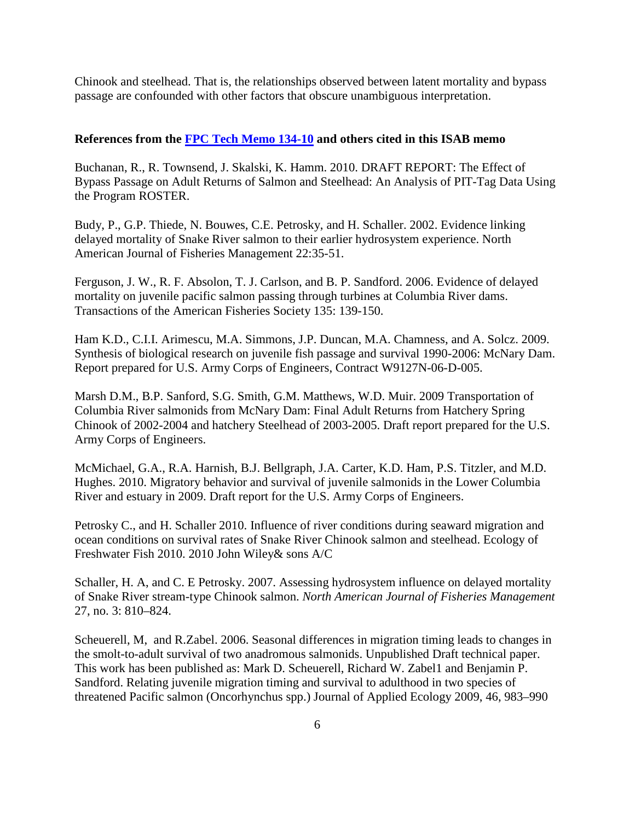Chinook and steelhead. That is, the relationships observed between latent mortality and bypass passage are confounded with other factors that obscure unambiguous interpretation.

#### **References from the [FPC Tech Memo 134-10](http://www.fpc.org/documents/memos/134-10.pdf) and others cited in this ISAB memo**

Buchanan, R., R. Townsend, J. Skalski, K. Hamm. 2010. DRAFT REPORT: The Effect of Bypass Passage on Adult Returns of Salmon and Steelhead: An Analysis of PIT-Tag Data Using the Program ROSTER.

Budy, P., G.P. Thiede, N. Bouwes, C.E. Petrosky, and H. Schaller. 2002. Evidence linking delayed mortality of Snake River salmon to their earlier hydrosystem experience. North American Journal of Fisheries Management 22:35-51.

Ferguson, J. W., R. F. Absolon, T. J. Carlson, and B. P. Sandford. 2006. Evidence of delayed mortality on juvenile pacific salmon passing through turbines at Columbia River dams. Transactions of the American Fisheries Society 135: 139-150.

Ham K.D., C.I.I. Arimescu, M.A. Simmons, J.P. Duncan, M.A. Chamness, and A. Solcz. 2009. Synthesis of biological research on juvenile fish passage and survival 1990-2006: McNary Dam. Report prepared for U.S. Army Corps of Engineers, Contract W9127N-06-D-005.

Marsh D.M., B.P. Sanford, S.G. Smith, G.M. Matthews, W.D. Muir. 2009 Transportation of Columbia River salmonids from McNary Dam: Final Adult Returns from Hatchery Spring Chinook of 2002-2004 and hatchery Steelhead of 2003-2005. Draft report prepared for the U.S. Army Corps of Engineers.

McMichael, G.A., R.A. Harnish, B.J. Bellgraph, J.A. Carter, K.D. Ham, P.S. Titzler, and M.D. Hughes. 2010. Migratory behavior and survival of juvenile salmonids in the Lower Columbia River and estuary in 2009. Draft report for the U.S. Army Corps of Engineers.

Petrosky C., and H. Schaller 2010. Influence of river conditions during seaward migration and ocean conditions on survival rates of Snake River Chinook salmon and steelhead. Ecology of Freshwater Fish 2010. 2010 John Wiley& sons A/C

Schaller, H. A, and C. E Petrosky. 2007. Assessing hydrosystem influence on delayed mortality of Snake River stream-type Chinook salmon. *North American Journal of Fisheries Management* 27, no. 3: 810–824.

Scheuerell, M, and R.Zabel. 2006. Seasonal differences in migration timing leads to changes in the smolt-to-adult survival of two anadromous salmonids. Unpublished Draft technical paper. This work has been published as: Mark D. Scheuerell, Richard W. Zabel1 and Benjamin P. Sandford. Relating juvenile migration timing and survival to adulthood in two species of threatened Pacific salmon (Oncorhynchus spp.) Journal of Applied Ecology 2009, 46, 983–990